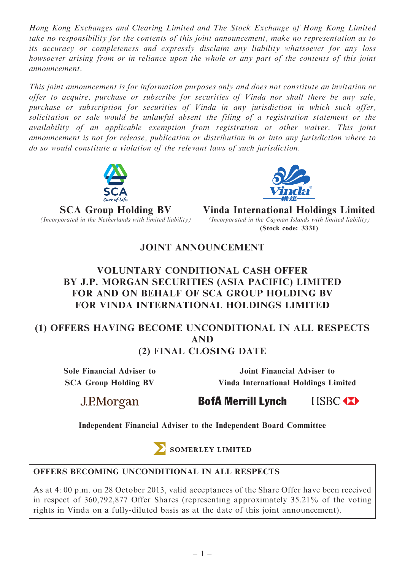Hong Kong Exchanges and Clearing Limited and The Stock Exchange of Hong Kong Limited take no responsibility for the contents of this joint announcement, make no representation as to its accuracy or completeness and expressly disclaim any liability whatsoever for any loss howsoever arising from or in reliance upon the whole or any part of the contents of this joint announcement.

This joint announcement is for information purposes only and does not constitute an invitation or offer to acquire, purchase or subscribe for securities of Vinda nor shall there be any sale, purchase or subscription for securities of Vinda in any jurisdiction in which such offer, solicitation or sale would be unlawful absent the filing of a registration statement or the availability of an applicable exemption from registration or other waiver. This joint announcement is not for release, publication or distribution in or into any jurisdiction where to do so would constitute a violation of the relevant laws of such jurisdiction.





**SCA Group Holding BV** Vinda International Holdings Limited (*Incorporated in the Netherlands with limited liability*) (*Incorporated in the Cayman Islands with limited liability*) (Incorporated in the Cayman Islands with limited liability) (Stock code: 3331)

# JOINT ANNOUNCEMENT

# VOLUNTARY CONDITIONAL CASH OFFER BY J.P. MORGAN SECURITIES (ASIA PACIFIC) LIMITED FOR AND ON BEHALF OF SCA GROUP HOLDING BV FOR VINDA INTERNATIONAL HOLDINGS LIMITED

# (1) OFFERS HAVING BECOME UNCONDITIONAL IN ALL RESPECTS AND (2) FINAL CLOSING DATE

Sole Financial Adviser to SCA Group Holding BV

Joint Financial Adviser to Vinda International Holdings Limited

J.P.Morgan

**BofA Merrill Lynch** HSBC **XX** 

Independent Financial Adviser to the Independent Board Committee



SOMERLEY LIMITED

## OFFERS BECOMING UNCONDITIONAL IN ALL RESPECTS

As at 4: 00 p.m. on 28 October 2013, valid acceptances of the Share Offer have been received in respect of 360,792,877 Offer Shares (representing approximately 35.21% of the voting rights in Vinda on a fully-diluted basis as at the date of this joint announcement).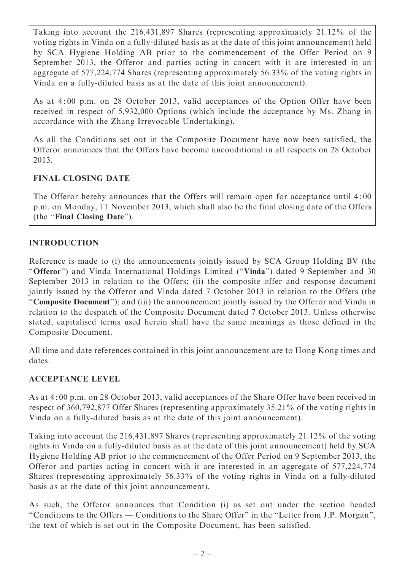Taking into account the 216,431,897 Shares (representing approximately 21.12% of the voting rights in Vinda on a fully-diluted basis as at the date of this joint announcement) held by SCA Hygiene Holding AB prior to the commencement of the Offer Period on 9 September 2013, the Offeror and parties acting in concert with it are interested in an aggregate of 577,224,774 Shares (representing approximately 56.33% of the voting rights in Vinda on a fully-diluted basis as at the date of this joint announcement).

As at 4: 00 p.m. on 28 October 2013, valid acceptances of the Option Offer have been received in respect of 5,932,000 Options (which include the acceptance by Ms. Zhang in accordance with the Zhang Irrevocable Undertaking).

As all the Conditions set out in the Composite Document have now been satisfied, the Offeror announces that the Offers have become unconditional in all respects on 28 October 2013.

## FINAL CLOSING DATE

The Offeror hereby announces that the Offers will remain open for acceptance until 4: 00 p.m. on Monday, 11 November 2013, which shall also be the final closing date of the Offers (the ''Final Closing Date'').

# INTRODUCTION

Reference is made to (i) the announcements jointly issued by SCA Group Holding BV (the ''Offeror'') and Vinda International Holdings Limited (''Vinda'') dated 9 September and 30 September 2013 in relation to the Offers; (ii) the composite offer and response document jointly issued by the Offeror and Vinda dated 7 October 2013 in relation to the Offers (the ''Composite Document''); and (iii) the announcement jointly issued by the Offeror and Vinda in relation to the despatch of the Composite Document dated 7 October 2013. Unless otherwise stated, capitalised terms used herein shall have the same meanings as those defined in the Composite Document.

All time and date references contained in this joint announcement are to Hong Kong times and dates.

## ACCEPTANCE LEVEL

As at 4: 00 p.m. on 28 October 2013, valid acceptances of the Share Offer have been received in respect of 360,792,877 Offer Shares (representing approximately 35.21% of the voting rights in Vinda on a fully-diluted basis as at the date of this joint announcement).

Taking into account the 216,431,897 Shares (representing approximately 21.12% of the voting rights in Vinda on a fully-diluted basis as at the date of this joint announcement) held by SCA Hygiene Holding AB prior to the commencement of the Offer Period on 9 September 2013, the Offeror and parties acting in concert with it are interested in an aggregate of 577,224,774 Shares (representing approximately 56.33% of the voting rights in Vinda on a fully-diluted basis as at the date of this joint announcement).

As such, the Offeror announces that Condition (i) as set out under the section headed ''Conditions to the Offers — Conditions to the Share Offer'' in the ''Letter from J.P. Morgan'', the text of which is set out in the Composite Document, has been satisfied.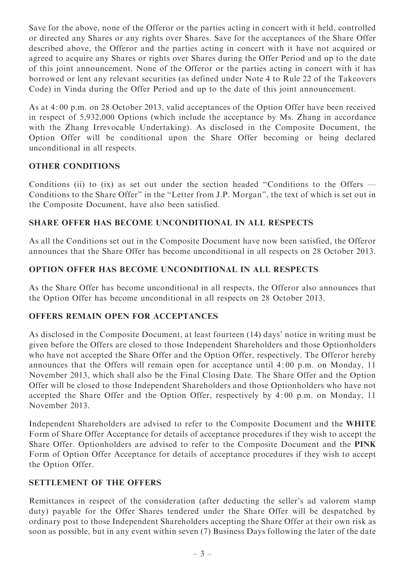Save for the above, none of the Offeror or the parties acting in concert with it held, controlled or directed any Shares or any rights over Shares. Save for the acceptances of the Share Offer described above, the Offeror and the parties acting in concert with it have not acquired or agreed to acquire any Shares or rights over Shares during the Offer Period and up to the date of this joint announcement. None of the Offeror or the parties acting in concert with it has borrowed or lent any relevant securities (as defined under Note 4 to Rule 22 of the Takeovers Code) in Vinda during the Offer Period and up to the date of this joint announcement.

As at 4: 00 p.m. on 28 October 2013, valid acceptances of the Option Offer have been received in respect of 5,932,000 Options (which include the acceptance by Ms. Zhang in accordance with the Zhang Irrevocable Undertaking). As disclosed in the Composite Document, the Option Offer will be conditional upon the Share Offer becoming or being declared unconditional in all respects.

#### OTHER CONDITIONS

Conditions (ii) to (ix) as set out under the section headed "Conditions to the Offers  $-$ Conditions to the Share Offer'' in the ''Letter from J.P. Morgan'', the text of which is set out in the Composite Document, have also been satisfied.

### SHARE OFFER HAS BECOME UNCONDITIONAL IN ALL RESPECTS

As all the Conditions set out in the Composite Document have now been satisfied, the Offeror announces that the Share Offer has become unconditional in all respects on 28 October 2013.

### OPTION OFFER HAS BECOME UNCONDITIONAL IN ALL RESPECTS

As the Share Offer has become unconditional in all respects, the Offeror also announces that the Option Offer has become unconditional in all respects on 28 October 2013.

#### OFFERS REMAIN OPEN FOR ACCEPTANCES

As disclosed in the Composite Document, at least fourteen (14) days' notice in writing must be given before the Offers are closed to those Independent Shareholders and those Optionholders who have not accepted the Share Offer and the Option Offer, respectively. The Offeror hereby announces that the Offers will remain open for acceptance until 4: 00 p.m. on Monday, 11 November 2013, which shall also be the Final Closing Date. The Share Offer and the Option Offer will be closed to those Independent Shareholders and those Optionholders who have not accepted the Share Offer and the Option Offer, respectively by 4: 00 p.m. on Monday, 11 November 2013.

Independent Shareholders are advised to refer to the Composite Document and the WHITE Form of Share Offer Acceptance for details of acceptance procedures if they wish to accept the Share Offer. Optionholders are advised to refer to the Composite Document and the PINK Form of Option Offer Acceptance for details of acceptance procedures if they wish to accept the Option Offer.

#### SETTLEMENT OF THE OFFERS

Remittances in respect of the consideration (after deducting the seller's ad valorem stamp duty) payable for the Offer Shares tendered under the Share Offer will be despatched by ordinary post to those Independent Shareholders accepting the Share Offer at their own risk as soon as possible, but in any event within seven (7) Business Days following the later of the date